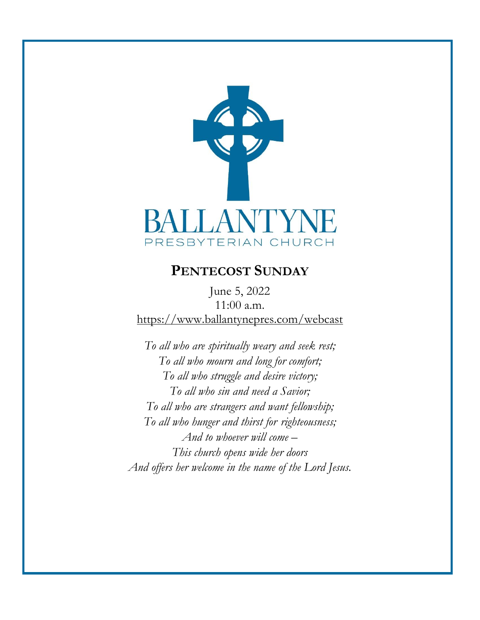

# **PENTECOST SUNDAY**

June 5, 2022 11:00 a.m. <https://www.ballantynepres.com/webcast>

*To all who are spiritually weary and seek rest; To all who mourn and long for comfort; To all who struggle and desire victory; To all who sin and need a Savior; To all who are strangers and want fellowship; To all who hunger and thirst for righteousness; And to whoever will come – This church opens wide her doors And offers her welcome in the name of the Lord Jesus.*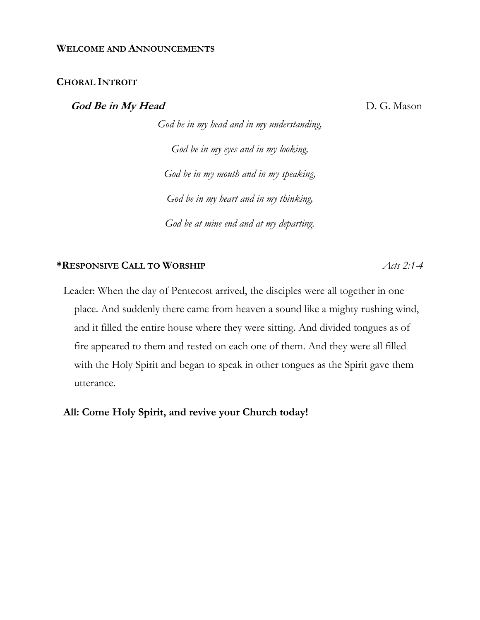#### **WELCOME AND ANNOUNCEMENTS**

#### **CHORAL INTROIT**

**God Be in My Head** D. G. Mason

*God be in my head and in my understanding, God be in my eyes and in my looking, God be in my mouth and in my speaking, God be in my heart and in my thinking, God be at mine end and at my departing.*

#### **\*RESPONSIVE CALL TO WORSHIP** *Acts 2:1-4*

Leader: When the day of Pentecost arrived, the disciples were all together in one place. And suddenly there came from heaven a sound like a mighty rushing wind, and it filled the entire house where they were sitting. And divided tongues as of fire appeared to them and rested on each one of them. And they were all filled with the Holy Spirit and began to speak in other tongues as the Spirit gave them utterance.

**All: Come Holy Spirit, and revive your Church today!**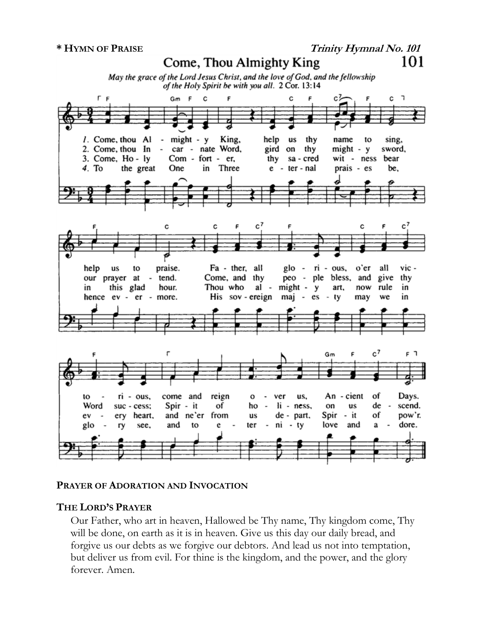

## **PRAYER OF ADORATION AND INVOCATION**

## **THE LORD'S PRAYER**

Our Father, who art in heaven, Hallowed be Thy name, Thy kingdom come, Thy will be done, on earth as it is in heaven. Give us this day our daily bread, and forgive us our debts as we forgive our debtors. And lead us not into temptation, but deliver us from evil. For thine is the kingdom, and the power, and the glory forever. Amen.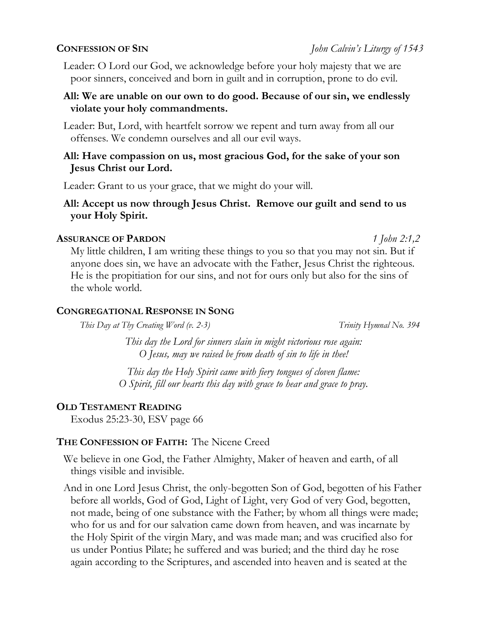Leader: O Lord our God, we acknowledge before your holy majesty that we are poor sinners, conceived and born in guilt and in corruption, prone to do evil.

## **All: We are unable on our own to do good. Because of our sin, we endlessly violate your holy commandments.**

Leader: But, Lord, with heartfelt sorrow we repent and turn away from all our offenses. We condemn ourselves and all our evil ways.

## **All: Have compassion on us, most gracious God, for the sake of your son Jesus Christ our Lord.**

Leader: Grant to us your grace, that we might do your will.

# **All: Accept us now through Jesus Christ. Remove our guilt and send to us your Holy Spirit.**

## **ASSURANCE OF PARDON** *1 John 2:1,2*

My little children, I am writing these things to you so that you may not sin. But if anyone does sin, we have an advocate with the Father, Jesus Christ the righteous. He is the propitiation for our sins, and not for ours only but also for the sins of the whole world.

## **CONGREGATIONAL RESPONSE IN SONG**

*This Day at Thy Creating Word (v. 2-3) Trinity Hymnal No. 394*

*This day the Lord for sinners slain in might victorious rose again: O Jesus, may we raised be from death of sin to life in thee!*

*This day the Holy Spirit came with fiery tongues of cloven flame: O Spirit, fill our hearts this day with grace to hear and grace to pray.*

# **OLD TESTAMENT READING**

Exodus 25:23-30, ESV page 66

# **THE CONFESSION OF FAITH:** The Nicene Creed

We believe in one God, the Father Almighty, Maker of heaven and earth, of all things visible and invisible.

And in one Lord Jesus Christ, the only-begotten Son of God, begotten of his Father before all worlds, God of God, Light of Light, very God of very God, begotten, not made, being of one substance with the Father; by whom all things were made; who for us and for our salvation came down from heaven, and was incarnate by the Holy Spirit of the virgin Mary, and was made man; and was crucified also for us under Pontius Pilate; he suffered and was buried; and the third day he rose again according to the Scriptures, and ascended into heaven and is seated at the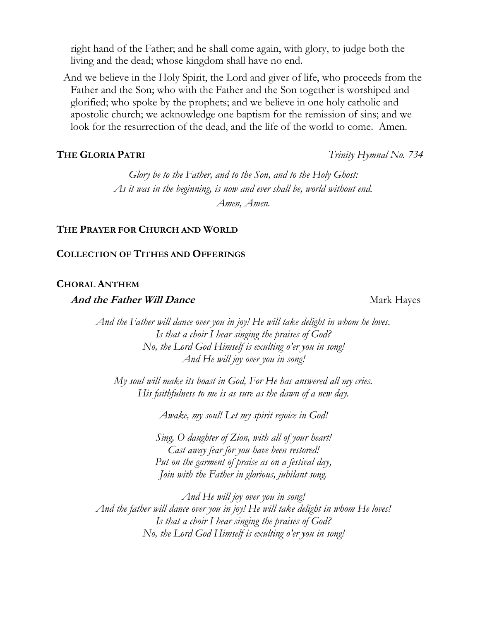right hand of the Father; and he shall come again, with glory, to judge both the living and the dead; whose kingdom shall have no end.

And we believe in the Holy Spirit, the Lord and giver of life, who proceeds from the Father and the Son; who with the Father and the Son together is worshiped and glorified; who spoke by the prophets; and we believe in one holy catholic and apostolic church; we acknowledge one baptism for the remission of sins; and we look for the resurrection of the dead, and the life of the world to come. Amen.

*Glory be to the Father, and to the Son, and to the Holy Ghost: As it was in the beginning, is now and ever shall be, world without end. Amen, Amen.*

### **THE PRAYER FOR CHURCH AND WORLD**

#### **COLLECTION OF TITHES AND OFFERINGS**

#### **CHORAL ANTHEM**

#### **And the Father Will Dance** Mark Hayes

*And the Father will dance over you in joy! He will take delight in whom he loves. Is that a choir I hear singing the praises of God? No, the Lord God Himself is exulting o'er you in song! And He will joy over you in song!*

*My soul will make its boast in God, For He has answered all my cries. His faithfulness to me is as sure as the dawn of a new day.*

*Awake, my soul! Let my spirit rejoice in God!*

*Sing, O daughter of Zion, with all of your heart! Cast away fear for you have been restored! Put on the garment of praise as on a festival day, Join with the Father in glorious, jubilant song.*

*And He will joy over you in song! And the father will dance over you in joy! He will take delight in whom He loves! Is that a choir I hear singing the praises of God? No, the Lord God Himself is exulting o'er you in song!*

**THE GLORIA PATRI** *Trinity Hymnal No. 734*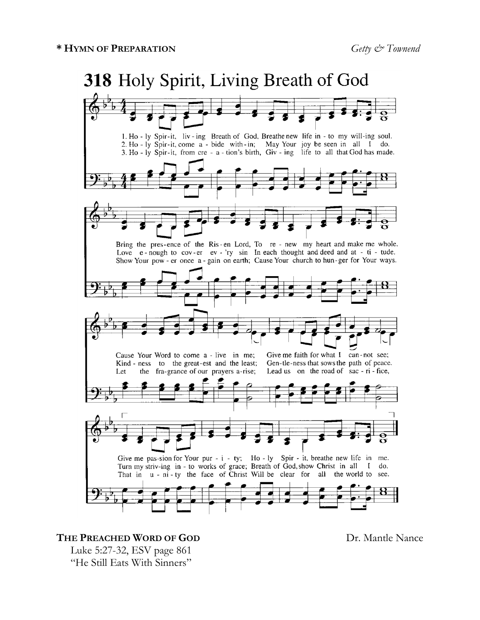

### **THE PREACHED WORD OF GOD** Dr. Mantle Nance

Luke 5:27-32, ESV page 861 "He Still Eats With Sinners"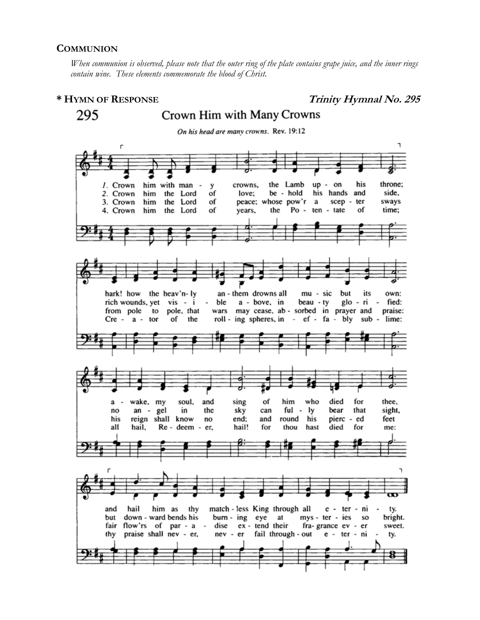#### **COMMUNION**

*When communion is observed, please note that the outer ring of the plate contains grape juice, and the inner rings contain wine. These elements commemorate the blood of Christ.*

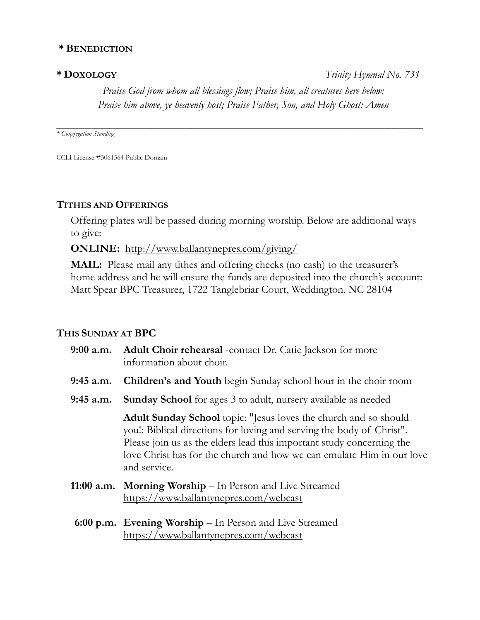## **\* BENEDICTION**

**\* DOXOLOGY** *Trinity Hymnal No. 731 Praise God from whom all blessings flow; Praise him, all creatures here below: Praise him above, ye heavenly host; Praise Father, Son, and Holy Ghost: Amen*

*\* Congregation Standing*

CCLI License #3061564 Public Domain

### **TITHES AND OFFERINGS**

Offering plates will be passed during morning worship. Below are additional ways to give:

*\_\_\_\_\_\_\_\_\_\_\_\_\_\_\_\_\_\_\_\_\_\_\_\_\_\_\_\_\_\_\_\_\_\_\_\_\_\_\_\_\_\_\_\_\_\_\_\_\_\_\_\_\_\_\_\_\_\_\_\_\_\_\_\_\_\_\_\_\_\_\_\_\_\_\_\_\_\_\_\_\_\_\_\_\_\_\_\_\_\_\_\_\_\_\_\_\_\_\_\_\_\_\_\_*

**ONLINE:** http://www.ballantynepres.com/giving/

**MAIL:** Please mail any tithes and offering checks (no cash) to the treasurer's home address and he will ensure the funds are deposited into the church's account: Matt Spear BPC Treasurer, 1722 Tanglebriar Court, Weddington, NC 28104

## **THIS SUNDAY AT BPC**

|             | 9:00 a.m. Adult Choir rehearsal -contact Dr. Catie Jackson for more<br>information about choir.                                                                                                                                                                                                             |
|-------------|-------------------------------------------------------------------------------------------------------------------------------------------------------------------------------------------------------------------------------------------------------------------------------------------------------------|
| $9:45$ a.m. | <b>Children's and Youth</b> begin Sunday school hour in the choir room                                                                                                                                                                                                                                      |
| $9:45$ a.m. | <b>Sunday School</b> for ages 3 to adult, nursery available as needed                                                                                                                                                                                                                                       |
|             | Adult Sunday School topic: "Jesus loves the church and so should<br>you!: Biblical directions for loving and serving the body of Christ".<br>Please join us as the elders lead this important study concerning the<br>love Christ has for the church and how we can emulate Him in our love<br>and service. |
|             | 11:00 a.m. Morning Worship – In Person and Live Streamed<br>https://www.ballantynepres.com/webcast                                                                                                                                                                                                          |
|             | 6:00 p.m. Evening Worship - In Person and Live Streamed                                                                                                                                                                                                                                                     |

<https://www.ballantynepres.com/webcast>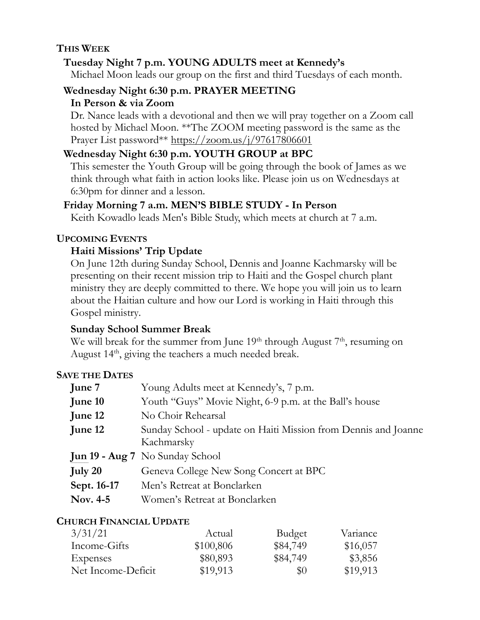# **THIS WEEK**

# **Tuesday Night 7 p.m. YOUNG ADULTS meet at Kennedy's**

Michael Moon leads our group on the first and third Tuesdays of each month.

# **Wednesday Night 6:30 p.m. PRAYER MEETING In Person & via Zoom**

Dr. Nance leads with a devotional and then we will pray together on a Zoom call hosted by Michael Moon. \*\*The ZOOM meeting password is the same as the Prayer List password\*\* https://zoom.us/j/97617806601

# **Wednesday Night 6:30 p.m. YOUTH GROUP at BPC**

This semester the Youth Group will be going through the book of James as we think through what faith in action looks like. Please join us on Wednesdays at 6:30pm for dinner and a lesson.

# **Friday Morning 7 a.m. MEN'S BIBLE STUDY - In Person**

Keith Kowadlo leads Men's Bible Study, which meets at church at 7 a.m.

# **UPCOMING EVENTS**

# **Haiti Missions' Trip Update**

On June 12th during Sunday School, Dennis and Joanne Kachmarsky will be presenting on their recent mission trip to Haiti and the Gospel church plant ministry they are deeply committed to there. We hope you will join us to learn about the Haitian culture and how our Lord is working in Haiti through this Gospel ministry.

# **Sunday School Summer Break**

We will break for the summer from June  $19<sup>th</sup>$  through August  $7<sup>th</sup>$ , resuming on August  $14<sup>th</sup>$ , giving the teachers a much needed break.

# **SAVE THE DATES**

| June 7      | Young Adults meet at Kennedy's, 7 p.m.                                       |
|-------------|------------------------------------------------------------------------------|
| June 10     | Youth "Guys" Movie Night, 6-9 p.m. at the Ball's house                       |
| June 12     | No Choir Rehearsal                                                           |
| June 12     | Sunday School - update on Haiti Mission from Dennis and Joanne<br>Kachmarsky |
|             | <b>Jun 19 - Aug 7</b> No Sunday School                                       |
|             |                                                                              |
| July 20     | Geneva College New Song Concert at BPC                                       |
| Sept. 16-17 | Men's Retreat at Bonclarken                                                  |
| Nov. 4-5    | Women's Retreat at Bonclarken                                                |

# **CHURCH FINANCIAL UPDATE**

| 3/31/21            | Actual    | <b>Budget</b> | Variance |
|--------------------|-----------|---------------|----------|
| Income-Gifts       | \$100,806 | \$84,749      | \$16,057 |
| Expenses           | \$80,893  | \$84,749      | \$3,856  |
| Net Income-Deficit | \$19,913  | $\$0$         | \$19,913 |